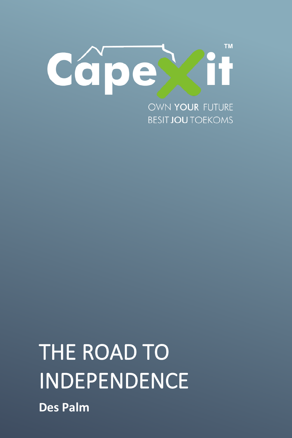

OWN YOUR FUTURE **BESIT JOU TOEKOMS** 

# **The Road To Independence (A CAPEXITY)** THE ROAD TO INDEPENDENCE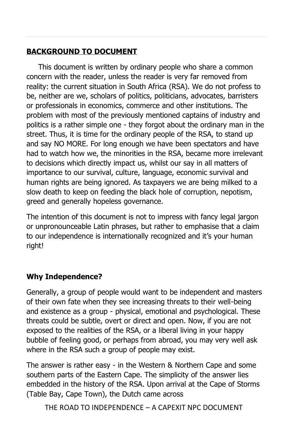# **BACKGROUND TO DOCUMENT**

 This document is written by ordinary people who share a common concern with the reader, unless the reader is very far removed from reality: the current situation in South Africa (RSA). We do not profess to be, neither are we, scholars of politics, politicians, advocates, barristers or professionals in economics, commerce and other institutions. The problem with most of the previously mentioned captains of industry and politics is a rather simple one - they forgot about the ordinary man in the street. Thus, it is time for the ordinary people of the RSA, to stand up and say NO MORE. For long enough we have been spectators and have had to watch how we, the minorities in the RSA, became more irrelevant to decisions which directly impact us, whilst our say in all matters of importance to our survival, culture, language, economic survival and human rights are being ignored. As taxpayers we are being milked to a slow death to keep on feeding the black hole of corruption, nepotism, greed and generally hopeless governance.

The intention of this document is not to impress with fancy legal jargon or unpronounceable Latin phrases, but rather to emphasise that a claim to our independence is internationally recognized and it's your human right!

### **Why Independence?**

Generally, a group of people would want to be independent and masters of their own fate when they see increasing threats to their well-being and existence as a group - physical, emotional and psychological. These threats could be subtle, overt or direct and open. Now, if you are not exposed to the realities of the RSA, or a liberal living in your happy bubble of feeling good, or perhaps from abroad, you may very well ask where in the RSA such a group of people may exist.

The answer is rather easy - in the Western & Northern Cape and some southern parts of the Eastern Cape. The simplicity of the answer lies embedded in the history of the RSA. Upon arrival at the Cape of Storms (Table Bay, Cape Town), the Dutch came across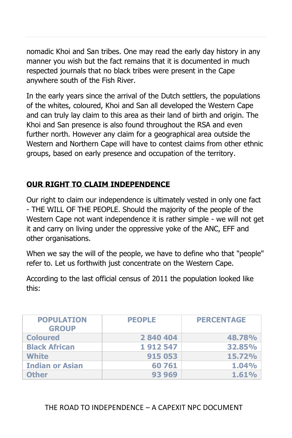nomadic Khoi and San tribes. One may read the early day history in any manner you wish but the fact remains that it is documented in much respected journals that no black tribes were present in the Cape anywhere south of the Fish River.

In the early years since the arrival of the Dutch settlers, the populations of the whites, coloured, Khoi and San all developed the Western Cape and can truly lay claim to this area as their land of birth and origin. The Khoi and San presence is also found throughout the RSA and even further north. However any claim for a geographical area outside the Western and Northern Cape will have to contest claims from other ethnic groups, based on early presence and occupation of the territory.

# **OUR RIGHT TO CLAIM INDEPENDENCE**

Our right to claim our independence is ultimately vested in only one fact - THE WILL OF THE PEOPLE. Should the majority of the people of the Western Cape not want independence it is rather simple - we will not get it and carry on living under the oppressive yoke of the ANC, EFF and other organisations.

When we say the will of the people, we have to define who that "people" refer to. Let us forthwith just concentrate on the Western Cape.

According to the last official census of 2011 the population looked like this:

| <b>POPULATION</b><br><b>GROUP</b> | <b>PEOPLE</b> | <b>PERCENTAGE</b> |
|-----------------------------------|---------------|-------------------|
| <b>Coloured</b>                   | 2 840 404     | 48.78%            |
| <b>Black African</b>              | 1912547       | 32.85%            |
| <b>White</b>                      | 915 053       | 15.72%            |
| <b>Indian or Asian</b>            | 60761         | 1.04%             |
| <b>Other</b>                      | 93 969        | 1.61%             |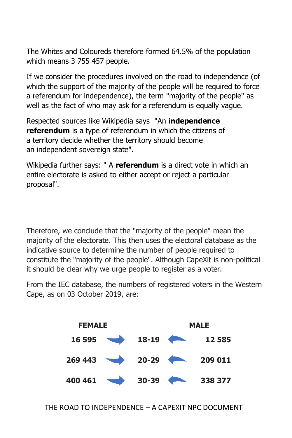The Whites and Coloureds therefore formed 64.5% of the population which means 3 755 457 people.

If we consider the procedures involved on the road to independence (of which the support of the majority of the people will be required to force a referendum for independence), the term "majority of the people" as well as the fact of who may ask for a referendum is equally vague.

Respected sources like Wikipedia says "An **independence referendum** is a type of [referendum](https://en.wikipedia.org/wiki/Referendum) in which the citizens of a [territory](https://en.wikipedia.org/wiki/Territory) decide whether the territory should become an [independent](https://en.wikipedia.org/wiki/Independence) [sovereign state"](https://en.wikipedia.org/wiki/Sovereign_state).

Wikipedia further says: " A **referendum** is a direct [vote](https://en.wikipedia.org/wiki/Vote) in which an entire [electorate](https://en.wikipedia.org/wiki/Constituency) is asked to either accept or reject a particular proposal".

Therefore, we conclude that the "majority of the people" mean the majority of the electorate. This then uses the electoral database as the indicative source to determine the number of people required to constitute the "majority of the people". Although CapeXit is non-political it should be clear why we urge people to register as a voter.

From the IEC database, the numbers of registered voters in the Western Cape, as on 03 October 2019, are:

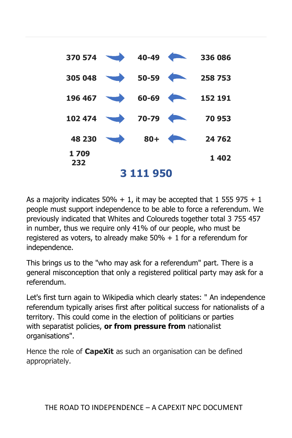

As a majority indicates  $50\% + 1$ , it may be accepted that 1 555 975 + 1 people must support independence to be able to force a referendum. We previously indicated that Whites and Coloureds together total 3 755 457 in number, thus we require only 41% of our people, who must be registered as voters, to already make  $50\% + 1$  for a referendum for independence.

This brings us to the "who may ask for a referendum" part. There is a general misconception that only a registered political party may ask for a referendum.

Let's first turn again to Wikipedia which clearly states: " An independence referendum typically arises first after political success for [nationalists](https://en.wikipedia.org/wiki/Nationalism) of a territory. This could come in the election of politicians or parties with [separatist](https://en.wikipedia.org/wiki/Separatism) policies, **or from pressure from** [nationalist](https://en.wikipedia.org/wiki/List_of_nationalist_organizations)  [organisations"](https://en.wikipedia.org/wiki/List_of_nationalist_organizations).

Hence the role of **CapeXit** as such an organisation can be defined appropriately.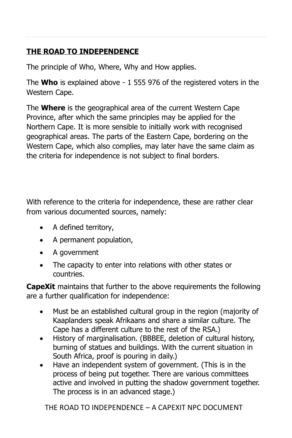# **THE ROAD TO INDEPENDENCE**

The principle of Who, Where, Why and How applies.

The **Who** is explained above - 1 555 976 of the registered voters in the Western Cape.

The **Where** is the geographical area of the current Western Cape Province, after which the same principles may be applied for the Northern Cape. It is more sensible to initially work with recognised geographical areas. The parts of the Eastern Cape, bordering on the Western Cape, which also complies, may later have the same claim as the criteria for independence is not subject to final borders.

With reference to the criteria for independence, these are rather clear from various documented sources, namely:

- A defined territory,
- A permanent population,
- A government
- The capacity to enter into relations with other states or countries.

**CapeXit** maintains that further to the above requirements the following are a further qualification for independence:

- Must be an established cultural group in the region (majority of Kaaplanders speak Afrikaans and share a similar culture. The Cape has a different culture to the rest of the RSA.)
- History of marginalisation. (BBBEE, deletion of cultural history, burning of statues and buildings. With the current situation in South Africa, proof is pouring in daily.)
- Have an independent system of government. (This is in the process of being put together. There are various committees active and involved in putting the shadow government together. The process is in an advanced stage.)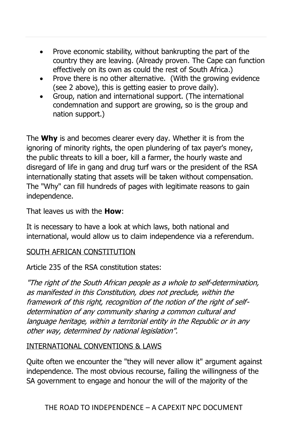- Prove economic stability, without bankrupting the part of the country they are leaving. (Already proven. The Cape can function effectively on its own as could the rest of South Africa.)
- Prove there is no other alternative. (With the growing evidence (see 2 above), this is getting easier to prove daily).
- Group, nation and international support. (The international condemnation and support are growing, so is the group and nation support.)

The **Why** is and becomes clearer every day. Whether it is from the ignoring of minority rights, the open plundering of tax payer's money, the public threats to kill a boer, kill a farmer, the hourly waste and disregard of life in gang and drug turf wars or the president of the RSA internationally stating that assets will be taken without compensation. The "Why" can fill hundreds of pages with legitimate reasons to gain independence.

That leaves us with the **How**:

It is necessary to have a look at which laws, both national and international, would allow us to claim independence via a referendum.

### SOUTH AFRICAN CONSTITUTION

Article 235 of the RSA constitution states:

"The right of the South African people as a whole to self-determination, as manifested in this Constitution, does not preclude, within the framework of this right, recognition of the notion of the right of selfdetermination of any community sharing a common cultural and language heritage, within a territorial entity in the Republic or in any other way, determined by national legislation".

### INTERNATIONAL CONVENTIONS & LAWS

Quite often we encounter the "they will never allow it" argument against independence. The most obvious recourse, failing the willingness of the SA government to engage and honour the will of the majority of the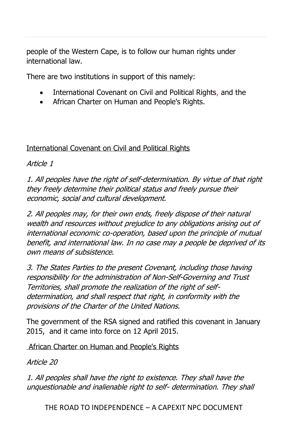people of the Western Cape, is to follow our human rights under international law.

There are two institutions in support of this namely:

- International Covenant on Civil and Political Rights, and the
- African Charter on Human and People's Rights.

International Covenant on Civil and Political Rights

Article 1

1. All peoples have the right of self-determination. By virtue of that right they freely determine their political status and freely pursue their economic, social and cultural development.

2. All peoples may, for their own ends, freely dispose of their natural wealth and resources without prejudice to any obligations arising out of international economic co-operation, based upon the principle of mutual benefit, and international law. In no case may a people be deprived of its own means of subsistence.

3. The States Parties to the present Covenant, including those having responsibility for the administration of Non-Self-Governing and Trust Territories, shall promote the realization of the right of selfdetermination, and shall respect that right, in conformity with the provisions of the Charter of the United Nations.

The government of the RSA signed and ratified this covenant in January 2015, and it came into force on 12 April 2015.

African Charter on Human and People's Rights

Article 20

1. All peoples shall have the right to existence. They shall have the unquestionable and inalienable right to self- determination. They shall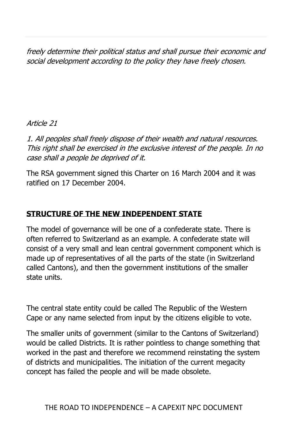freely determine their political status and shall pursue their economic and social development according to the policy they have freely chosen.

Article 21

1. All peoples shall freely dispose of their wealth and natural resources. This right shall be exercised in the exclusive interest of the people. In no case shall a people be deprived of it.

The RSA government signed this Charter on 16 March 2004 and it was ratified on 17 December 2004.

# **STRUCTURE OF THE NEW INDEPENDENT STATE**

The model of governance will be one of a confederate state. There is often referred to Switzerland as an example. A confederate state will consist of a very small and lean central government component which is made up of representatives of all the parts of the state (in Switzerland called Cantons), and then the government institutions of the smaller state units.

The central state entity could be called The Republic of the Western Cape or any name selected from input by the citizens eligible to vote.

The smaller units of government (similar to the Cantons of Switzerland) would be called Districts. It is rather pointless to change something that worked in the past and therefore we recommend reinstating the system of districts and municipalities. The initiation of the current megacity concept has failed the people and will be made obsolete.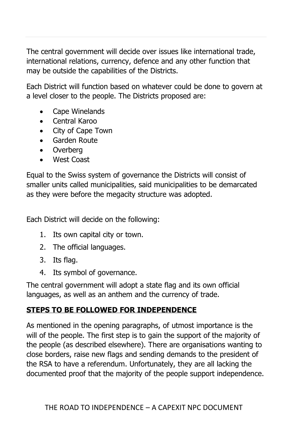The central government will decide over issues like international trade, international relations, currency, defence and any other function that may be outside the capabilities of the Districts.

Each District will function based on whatever could be done to govern at a level closer to the people. The Districts proposed are:

- Cape Winelands
- Central Karoo
- City of Cape Town
- Garden Route
- Overberg
- West Coast

Equal to the Swiss system of governance the Districts will consist of smaller units called municipalities, said municipalities to be demarcated as they were before the megacity structure was adopted.

Each District will decide on the following:

- 1. Its own capital city or town.
- 2. The official languages.
- 3. Its flag.
- 4. Its symbol of governance.

The central government will adopt a state flag and its own official languages, as well as an anthem and the currency of trade.

# **STEPS TO BE FOLLOWED FOR INDEPENDENCE**

As mentioned in the opening paragraphs, of utmost importance is the will of the people. The first step is to gain the support of the majority of the people (as described elsewhere). There are organisations wanting to close borders, raise new flags and sending demands to the president of the RSA to have a referendum. Unfortunately, they are all lacking the documented proof that the majority of the people support independence.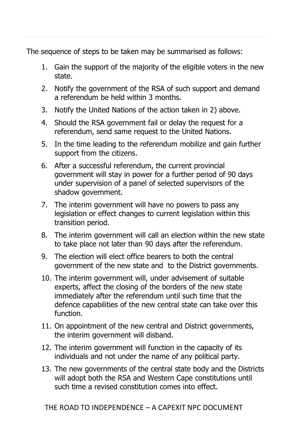The sequence of steps to be taken may be summarised as follows:

- 1. Gain the support of the majority of the eligible voters in the new state.
- 2. Notify the government of the RSA of such support and demand a referendum be held within 3 months.
- 3. Notify the United Nations of the action taken in 2) above.
- 4. Should the RSA government fail or delay the request for a referendum, send same request to the United Nations.
- 5. In the time leading to the referendum mobilize and gain further support from the citizens.
- 6. After a successful referendum, the current provincial government will stay in power for a further period of 90 days under supervision of a panel of selected supervisors of the shadow government.
- 7. The interim government will have no powers to pass any legislation or effect changes to current legislation within this transition period.
- 8. The interim government will call an election within the new state to take place not later than 90 days after the referendum.
- 9. The election will elect office bearers to both the central government of the new state and to the District governments.
- 10. The interim government will, under advisement of suitable experts, affect the closing of the borders of the new state immediately after the referendum until such time that the defence capabilities of the new central state can take over this function.
- 11. On appointment of the new central and District governments, the interim government will disband.
- 12. The interim government will function in the capacity of its individuals and not under the name of any political party.
- 13. The new governments of the central state body and the Districts will adopt both the RSA and Western Cape constitutions until such time a revised constitution comes into effect.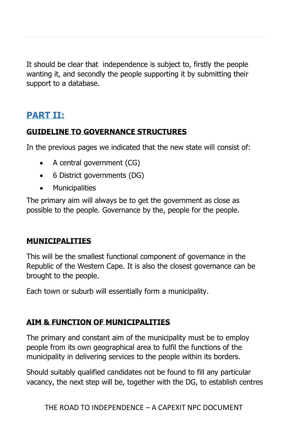It should be clear that independence is subject to, firstly the people wanting it, and secondly the people supporting it by submitting their support to a database.

# **PART II:**

# **GUIDELINE TO GOVERNANCE STRUCTURES**

In the previous pages we indicated that the new state will consist of:

- A central government (CG)
- 6 District governments (DG)
- Municipalities

The primary aim will always be to get the government as close as possible to the people. Governance by the, people for the people.

### **MUNICIPALITIES**

This will be the smallest functional component of governance in the Republic of the Western Cape. It is also the closest governance can be brought to the people.

Each town or suburb will essentially form a municipality.

# **AIM & FUNCTION OF MUNICIPALITIES**

The primary and constant aim of the municipality must be to employ people from its own geographical area to fulfil the functions of the municipality in delivering services to the people within its borders.

Should suitably qualified candidates not be found to fill any particular vacancy, the next step will be, together with the DG, to establish centres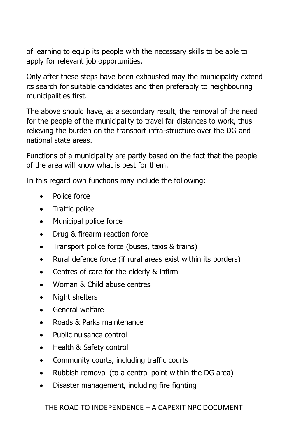of learning to equip its people with the necessary skills to be able to apply for relevant job opportunities.

Only after these steps have been exhausted may the municipality extend its search for suitable candidates and then preferably to neighbouring municipalities first.

The above should have, as a secondary result, the removal of the need for the people of the municipality to travel far distances to work, thus relieving the burden on the transport infra-structure over the DG and national state areas.

Functions of a municipality are partly based on the fact that the people of the area will know what is best for them.

In this regard own functions may include the following:

- Police force
- Traffic police
- Municipal police force
- Drug & firearm reaction force
- Transport police force (buses, taxis & trains)
- Rural defence force (if rural areas exist within its borders)
- Centres of care for the elderly & infirm
- Woman & Child abuse centres
- Night shelters
- General welfare
- Roads & Parks maintenance
- Public nuisance control
- Health & Safety control
- Community courts, including traffic courts
- Rubbish removal (to a central point within the DG area)
- Disaster management, including fire fighting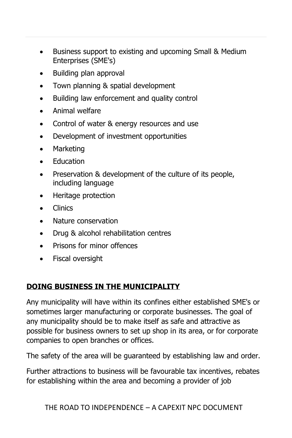- Business support to existing and upcoming Small & Medium Enterprises (SME's)
- Building plan approval
- Town planning & spatial development
- Building law enforcement and quality control
- Animal welfare
- Control of water & energy resources and use
- Development of investment opportunities
- Marketing
- Education
- Preservation & development of the culture of its people, including language
- Heritage protection
- Clinics
- Nature conservation
- Drug & alcohol rehabilitation centres
- Prisons for minor offences
- Fiscal oversight

# **DOING BUSINESS IN THE MUNICIPALITY**

Any municipality will have within its confines either established SME's or sometimes larger manufacturing or corporate businesses. The goal of any municipality should be to make itself as safe and attractive as possible for business owners to set up shop in its area, or for corporate companies to open branches or offices.

The safety of the area will be guaranteed by establishing law and order.

Further attractions to business will be favourable tax incentives, rebates for establishing within the area and becoming a provider of job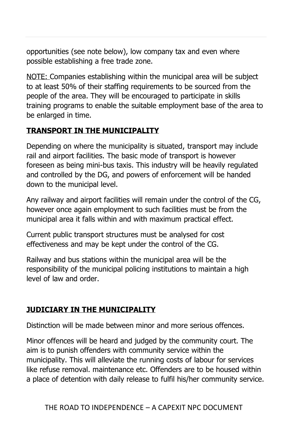opportunities (see note below), low company tax and even where possible establishing a free trade zone.

NOTE: Companies establishing within the municipal area will be subject to at least 50% of their staffing requirements to be sourced from the people of the area. They will be encouraged to participate in skills training programs to enable the suitable employment base of the area to be enlarged in time.

### **TRANSPORT IN THE MUNICIPALITY**

Depending on where the municipality is situated, transport may include rail and airport facilities. The basic mode of transport is however foreseen as being mini-bus taxis. This industry will be heavily regulated and controlled by the DG, and powers of enforcement will be handed down to the municipal level.

Any railway and airport facilities will remain under the control of the CG, however once again employment to such facilities must be from the municipal area it falls within and with maximum practical effect.

Current public transport structures must be analysed for cost effectiveness and may be kept under the control of the CG.

Railway and bus stations within the municipal area will be the responsibility of the municipal policing institutions to maintain a high level of law and order.

# **JUDICIARY IN THE MUNICIPALITY**

Distinction will be made between minor and more serious offences.

Minor offences will be heard and judged by the community court. The aim is to punish offenders with community service within the municipality. This will alleviate the running costs of labour for services like refuse removal. maintenance etc. Offenders are to be housed within a place of detention with daily release to fulfil his/her community service.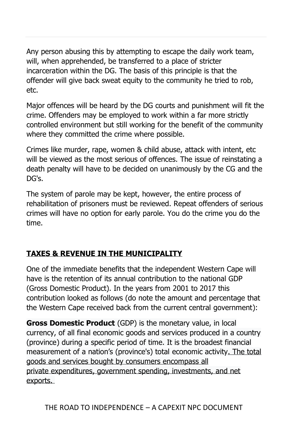Any person abusing this by attempting to escape the daily work team, will, when apprehended, be transferred to a place of stricter incarceration within the DG. The basis of this principle is that the offender will give back sweat equity to the community he tried to rob, etc.

Major offences will be heard by the DG courts and punishment will fit the crime. Offenders may be employed to work within a far more strictly controlled environment but still working for the benefit of the community where they committed the crime where possible.

Crimes like murder, rape, women & child abuse, attack with intent, etc will be viewed as the most serious of offences. The issue of reinstating a death penalty will have to be decided on unanimously by the CG and the DG's.

The system of parole may be kept, however, the entire process of rehabilitation of prisoners must be reviewed. Repeat offenders of serious crimes will have no option for early parole. You do the crime you do the time.

# **TAXES & REVENUE IN THE MUNICIPALITY**

One of the immediate benefits that the independent Western Cape will have is the retention of its annual contribution to the national GDP (Gross Domestic Product). In the years from 2001 to 2017 this contribution looked as follows (do note the amount and percentage that the Western Cape received back from the current central government):

**Gross Domestic Product** (GDP) is the monetary value, in local currency, of all final economic goods and services produced in a country (province) during a specific period of time. It is the broadest financial measurement of a nation's (province's) total economic activity. The total goods and services bought by consumers encompass all private [expenditures,](https://corporatefinanceinstitute.com/resources/knowledge/accounting/expenditure/) government spending, investments, and net exports.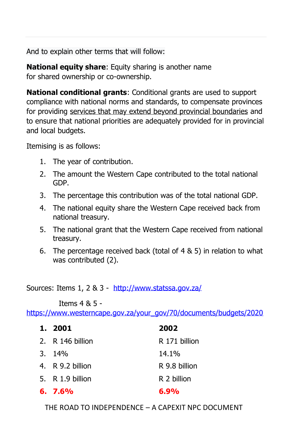And to explain other terms that will follow:

**National equity share:** Equity sharing is another name for shared ownership or co-ownership.

**National conditional grants**: Conditional grants are used to support compliance with national norms and standards, to compensate provinces for providing services that may extend beyond provincial boundaries and to ensure that national priorities are adequately provided for in provincial and local budgets.

Itemising is as follows:

- 1. The year of contribution.
- 2. The amount the Western Cape contributed to the total national GDP.
- 3. The percentage this contribution was of the total national GDP.
- 4. The national equity share the Western Cape received back from national treasury.
- 5. The national grant that the Western Cape received from national treasury.
- 6. The percentage received back (total of 4 & 5) in relation to what was contributed (2).

Sources: Items 1, 2 & 3 - <http://www.statssa.gov.za/>

Items 4 & 5 -

[https://www.westerncape.gov.za/your\\_gov/70/documents/budgets/2020](https://www.westerncape.gov.za/your_gov/70/documents/budgets/2020)

| 1. 2001          | 2002          |
|------------------|---------------|
| 2. R 146 billion | R 171 billion |
| $3.14\%$         | 14.1%         |
| 4. R 9.2 billion | R 9.8 billion |
| 5. R 1.9 billion | R 2 billion   |
| $6.7.6\%$        | $6.9\%$       |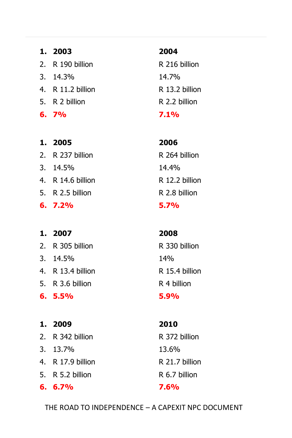| 1. 2003           | 2004    |
|-------------------|---------|
| 2. R 190 billion  | R 216   |
| $3.14.3\%$        | 14.7%   |
| 4. R 11.2 billion | R 13.2  |
| 5. R 2 billion    | R 2.2 h |
| $6.7\%$           | 7.1%    |

# **1. 2005 2006**

2. R 237 billion R 264 billion 3. 14.5% 14.4% 4. R 14.6 billion R 12.2 billion 5. R 2.5 billion R 2.8 billion **6. 7.2% 5.7%**

# **1. 2007 2008**

2. R 305 billion R 330 billion 3. 14.5% 14%

**6. 5.5% 5.9%**

n R 216 billion 14.7% 4. R 11.2 billion R 13.2 billion R 2.2 billion

4. R 13.4 billion R 15.4 billion 5. R 3.6 billion R 4 billion

**1. 2009 2010** 2. R 342 billion R 372 billion 3. 13.7% 13.6% 4. R 17.9 billion R 21.7 billion 5. R 5.2 billion R 6.7 billion **6. 6.7% 7.6%**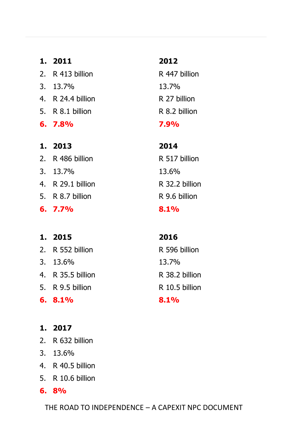**1. 2011 2012** 2. R 413 billion R 447 billion 3. 13.7% 13.7% 4. R 24.4 billion R 27 billion 5. R 8.1 billion R 8.2 billion **6. 7.8% 7.9% 1. 2013 2014** 2. R 486 billion R 517 billion 3. 13.7% 13.6%

- 5. R 8.7 billion R 9.6 billion
- **6. 7.7% 8.1%**

# **1. 2015 2016**

- 2 R 552 billion R 596 billion
- 3. 13.6% 13.7%
- 4. R 35.5 billion R 38.2 billion
- 5. R 9.5 billion R 10.5 billion
- **6. 8.1% 8.1%**
- **1. 2017**
- 2. R 632 billion
- 3. 13.6%
- 4. R 40.5 billion
- 5. R 10.6 billion
- **6. 8%**

THE ROAD TO INDEPENDENCE – A CAPEXIT NPC DOCUMENT

4. R 29.1 billion R 32.2 billion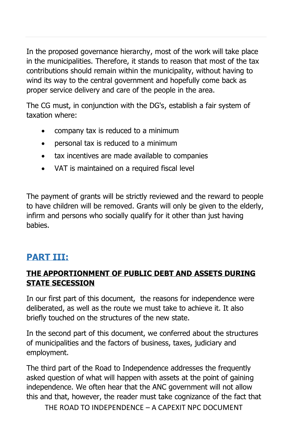In the proposed governance hierarchy, most of the work will take place in the municipalities. Therefore, it stands to reason that most of the tax contributions should remain within the municipality, without having to wind its way to the central government and hopefully come back as proper service delivery and care of the people in the area.

The CG must, in conjunction with the DG's, establish a fair system of taxation where:

- company tax is reduced to a minimum
- personal tax is reduced to a minimum
- tax incentives are made available to companies
- VAT is maintained on a required fiscal level

The payment of grants will be strictly reviewed and the reward to people to have children will be removed. Grants will only be given to the elderly, infirm and persons who socially qualify for it other than just having babies.

# **PART III:**

# **THE APPORTIONMENT OF PUBLIC DEBT AND ASSETS DURING STATE SECESSION**

In our first part of this document, the reasons for independence were deliberated, as well as the route we must take to achieve it. It also briefly touched on the structures of the new state.

In the second part of this document, we conferred about the structures of municipalities and the factors of business, taxes, judiciary and employment.

The third part of the Road to Independence addresses the frequently asked question of what will happen with assets at the point of gaining independence. We often hear that the ANC government will not allow this and that, however, the reader must take cognizance of the fact that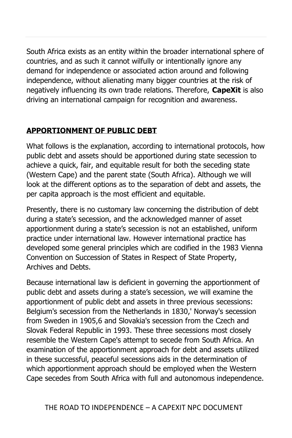South Africa exists as an entity within the broader international sphere of countries, and as such it cannot wilfully or intentionally ignore any demand for independence or associated action around and following independence, without alienating many bigger countries at the risk of negatively influencing its own trade relations. Therefore, **CapeXit** is also driving an international campaign for recognition and awareness.

### **APPORTIONMENT OF PUBLIC DEBT**

What follows is the explanation, according to international protocols, how public debt and assets should be apportioned during state secession to achieve a quick, fair, and equitable result for both the seceding state (Western Cape) and the parent state (South Africa). Although we will look at the different options as to the separation of debt and assets, the per capita approach is the most efficient and equitable.

Presently, there is no customary law concerning the distribution of debt during a state's secession, and the acknowledged manner of asset apportionment during a state's secession is not an established, uniform practice under international law. However international practice has developed some general principles which are codified in the 1983 Vienna Convention on Succession of States in Respect of State Property, Archives and Debts.

Because international law is deficient in governing the apportionment of public debt and assets during a state's secession, we will examine the apportionment of public debt and assets in three previous secessions: Belgium's secession from the Netherlands in 1830,' Norway's secession from Sweden in 1905,6 and Slovakia's secession from the Czech and Slovak Federal Republic in 1993. These three secessions most closely resemble the Western Cape's attempt to secede from South Africa. An examination of the apportionment approach for debt and assets utilized in these successful, peaceful secessions aids in the determination of which apportionment approach should be employed when the Western Cape secedes from South Africa with full and autonomous independence.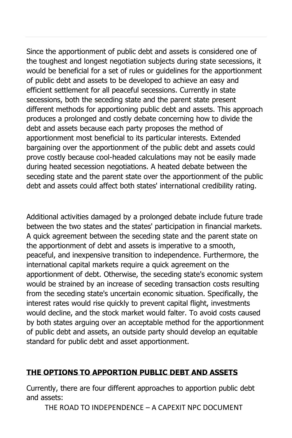Since the apportionment of public debt and assets is considered one of the toughest and longest negotiation subjects during state secessions, it would be beneficial for a set of rules or guidelines for the apportionment of public debt and assets to be developed to achieve an easy and efficient settlement for all peaceful secessions. Currently in state secessions, both the seceding state and the parent state present different methods for apportioning public debt and assets. This approach produces a prolonged and costly debate concerning how to divide the debt and assets because each party proposes the method of apportionment most beneficial to its particular interests. Extended bargaining over the apportionment of the public debt and assets could prove costly because cool-headed calculations may not be easily made during heated secession negotiations. A heated debate between the seceding state and the parent state over the apportionment of the public debt and assets could affect both states' international credibility rating.

Additional activities damaged by a prolonged debate include future trade between the two states and the states' participation in financial markets. A quick agreement between the seceding state and the parent state on the apportionment of debt and assets is imperative to a smooth, peaceful, and inexpensive transition to independence. Furthermore, the international capital markets require a quick agreement on the apportionment of debt. Otherwise, the seceding state's economic system would be strained by an increase of seceding transaction costs resulting from the seceding state's uncertain economic situation. Specifically, the interest rates would rise quickly to prevent capital flight, investments would decline, and the stock market would falter. To avoid costs caused by both states arguing over an acceptable method for the apportionment of public debt and assets, an outside party should develop an equitable standard for public debt and asset apportionment.

### **THE OPTIONS TO APPORTION PUBLIC DEBT AND ASSETS**

Currently, there are four different approaches to apportion public debt and assets: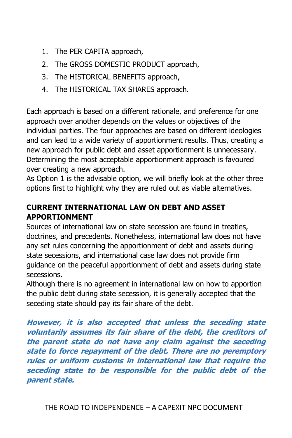- 1. The PER CAPITA approach,
- 2. The GROSS DOMESTIC PRODUCT approach,
- 3. The HISTORICAL BENEFITS approach,
- 4. The HISTORICAL TAX SHARES approach.

Each approach is based on a different rationale, and preference for one approach over another depends on the values or objectives of the individual parties. The four approaches are based on different ideologies and can lead to a wide variety of apportionment results. Thus, creating a new approach for public debt and asset apportionment is unnecessary. Determining the most acceptable apportionment approach is favoured over creating a new approach.

As Option 1 is the advisable option, we will briefly look at the other three options first to highlight why they are ruled out as viable alternatives.

# **CURRENT INTERNATIONAL LAW ON DEBT AND ASSET APPORTIONMENT**

Sources of international law on state secession are found in treaties, doctrines, and precedents. Nonetheless, international law does not have any set rules concerning the apportionment of debt and assets during state secessions, and international case law does not provide firm guidance on the peaceful apportionment of debt and assets during state secessions.

Although there is no agreement in international law on how to apportion the public debt during state secession, it is generally accepted that the seceding state should pay its fair share of the debt.

**However, it is also accepted that unless the seceding state voluntarily assumes its fair share of the debt, the creditors of the parent state do not have any claim against the seceding state to force repayment of the debt. There are no peremptory rules or uniform customs in international law that require the seceding state to be responsible for the public debt of the parent state.**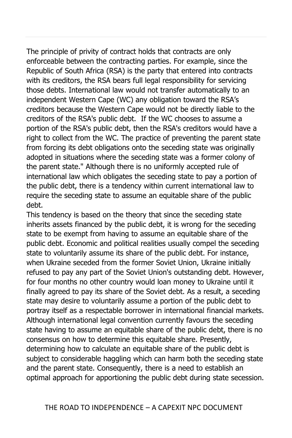The principle of privity of contract holds that contracts are only enforceable between the contracting parties. For example, since the Republic of South Africa (RSA) is the party that entered into contracts with its creditors, the RSA bears full legal responsibility for servicing those debts. International law would not transfer automatically to an independent Western Cape (WC) any obligation toward the RSA's creditors because the Western Cape would not be directly liable to the creditors of the RSA's public debt. If the WC chooses to assume a portion of the RSA's public debt, then the RSA's creditors would have a right to collect from the WC. The practice of preventing the parent state from forcing its debt obligations onto the seceding state was originally adopted in situations where the seceding state was a former colony of the parent state." Although there is no uniformly accepted rule of international law which obligates the seceding state to pay a portion of the public debt, there is a tendency within current international law to require the seceding state to assume an equitable share of the public debt.

This tendency is based on the theory that since the seceding state inherits assets financed by the public debt, it is wrong for the seceding state to be exempt from having to assume an equitable share of the public debt. Economic and political realities usually compel the seceding state to voluntarily assume its share of the public debt. For instance, when Ukraine seceded from the former Soviet Union, Ukraine initially refused to pay any part of the Soviet Union's outstanding debt. However, for four months no other country would loan money to Ukraine until it finally agreed to pay its share of the Soviet debt. As a result, a seceding state may desire to voluntarily assume a portion of the public debt to portray itself as a respectable borrower in international financial markets. Although international legal convention currently favours the seceding state having to assume an equitable share of the public debt, there is no consensus on how to determine this equitable share. Presently, determining how to calculate an equitable share of the public debt is subject to considerable haggling which can harm both the seceding state and the parent state. Consequently, there is a need to establish an optimal approach for apportioning the public debt during state secession.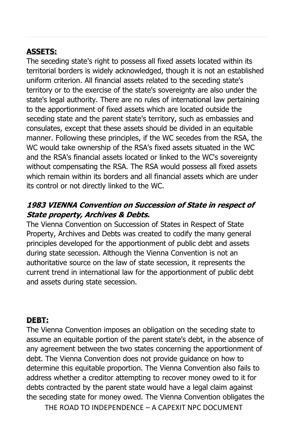# **ASSETS:**

The seceding state's right to possess all fixed assets located within its territorial borders is widely acknowledged, though it is not an established uniform criterion. All financial assets related to the seceding state's territory or to the exercise of the state's sovereignty are also under the state's legal authority. There are no rules of international law pertaining to the apportionment of fixed assets which are located outside the seceding state and the parent state's territory, such as embassies and consulates, except that these assets should be divided in an equitable manner. Following these principles, if the WC secedes from the RSA, the WC would take ownership of the RSA's fixed assets situated in the WC and the RSA's financial assets located or linked to the WC's sovereignty without compensating the RSA. The RSA would possess all fixed assets which remain within its borders and all financial assets which are under its control or not directly linked to the WC.

# **1983 VIENNA Convention on Succession of State in respect of State property, Archives & Debts.**

The Vienna Convention on Succession of States in Respect of State Property, Archives and Debts was created to codify the many general principles developed for the apportionment of public debt and assets during state secession. Although the Vienna Convention is not an authoritative source on the law of state secession, it represents the current trend in international law for the apportionment of public debt and assets during state secession.

### **DEBT:**

The Vienna Convention imposes an obligation on the seceding state to assume an equitable portion of the parent state's debt, in the absence of any agreement between the two states concerning the apportionment of debt. The Vienna Convention does not provide guidance on how to determine this equitable proportion. The Vienna Convention also fails to address whether a creditor attempting to recover money owed to it for debts contracted by the parent state would have a legal claim against the seceding state for money owed. The Vienna Convention obligates the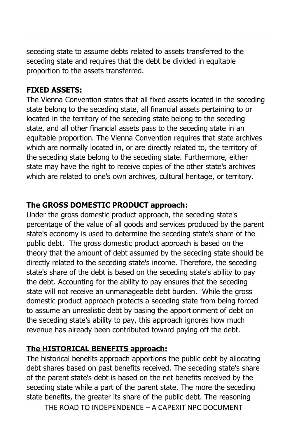seceding state to assume debts related to assets transferred to the seceding state and requires that the debt be divided in equitable proportion to the assets transferred.

### **FIXED ASSETS:**

The Vienna Convention states that all fixed assets located in the seceding state belong to the seceding state, all financial assets pertaining to or located in the territory of the seceding state belong to the seceding state, and all other financial assets pass to the seceding state in an equitable proportion. The Vienna Convention requires that state archives which are normally located in, or are directly related to, the territory of the seceding state belong to the seceding state. Furthermore, either state may have the right to receive copies of the other state's archives which are related to one's own archives, cultural heritage, or territory.

### **The GROSS DOMESTIC PRODUCT approach:**

Under the gross domestic product approach, the seceding state's percentage of the value of all goods and services produced by the parent state's economy is used to determine the seceding state's share of the public debt. The gross domestic product approach is based on the theory that the amount of debt assumed by the seceding state should be directly related to the seceding state's income. Therefore, the seceding state's share of the debt is based on the seceding state's ability to pay the debt. Accounting for the ability to pay ensures that the seceding state will not receive an unmanageable debt burden. While the gross domestic product approach protects a seceding state from being forced to assume an unrealistic debt by basing the apportionment of debt on the seceding state's ability to pay, this approach ignores how much revenue has already been contributed toward paying off the debt.

# **The HISTORICAL BENEFITS approach:**

The historical benefits approach apportions the public debt by allocating debt shares based on past benefits received. The seceding state's share of the parent state's debt is based on the net benefits received by the seceding state while a part of the parent state. The more the seceding state benefits, the greater its share of the public debt. The reasoning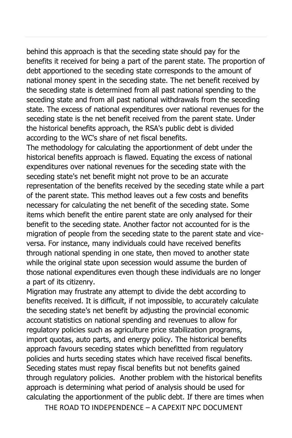behind this approach is that the seceding state should pay for the benefits it received for being a part of the parent state. The proportion of debt apportioned to the seceding state corresponds to the amount of national money spent in the seceding state. The net benefit received by the seceding state is determined from all past national spending to the seceding state and from all past national withdrawals from the seceding state. The excess of national expenditures over national revenues for the seceding state is the net benefit received from the parent state. Under the historical benefits approach, the RSA's public debt is divided according to the WC's share of net fiscal benefits.

The methodology for calculating the apportionment of debt under the historical benefits approach is flawed. Equating the excess of national expenditures over national revenues for the seceding state with the seceding state's net benefit might not prove to be an accurate representation of the benefits received by the seceding state while a part of the parent state. This method leaves out a few costs and benefits necessary for calculating the net benefit of the seceding state. Some items which benefit the entire parent state are only analysed for their benefit to the seceding state. Another factor not accounted for is the migration of people from the seceding state to the parent state and viceversa. For instance, many individuals could have received benefits through national spending in one state, then moved to another state while the original state upon secession would assume the burden of those national expenditures even though these individuals are no longer a part of its citizenry.

Migration may frustrate any attempt to divide the debt according to benefits received. It is difficult, if not impossible, to accurately calculate the seceding state's net benefit by adjusting the provincial economic account statistics on national spending and revenues to allow for regulatory policies such as agriculture price stabilization programs, import quotas, auto parts, and energy policy. The historical benefits approach favours seceding states which benefitted from regulatory policies and hurts seceding states which have received fiscal benefits. Seceding states must repay fiscal benefits but not benefits gained through regulatory policies. Another problem with the historical benefits approach is determining what period of analysis should be used for calculating the apportionment of the public debt. If there are times when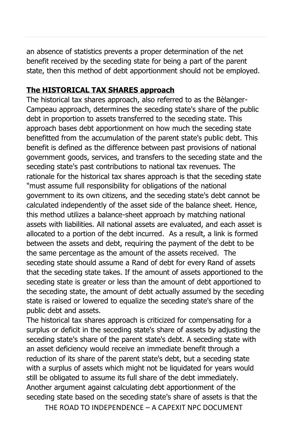an absence of statistics prevents a proper determination of the net benefit received by the seceding state for being a part of the parent state, then this method of debt apportionment should not be employed.

### **The HISTORICAL TAX SHARES approach**

The historical tax shares approach, also referred to as the Bèlanger-Campeau approach, determines the seceding state's share of the public debt in proportion to assets transferred to the seceding state. This approach bases debt apportionment on how much the seceding state benefitted from the accumulation of the parent state's public debt. This benefit is defined as the difference between past provisions of national government goods, services, and transfers to the seceding state and the seceding state's past contributions to national tax revenues. The rationale for the historical tax shares approach is that the seceding state "must assume full responsibility for obligations of the national government to its own citizens, and the seceding state's debt cannot be calculated independently of the asset side of the balance sheet. Hence, this method utilizes a balance-sheet approach by matching national assets with liabilities. All national assets are evaluated, and each asset is allocated to a portion of the debt incurred. As a result, a link is formed between the assets and debt, requiring the payment of the debt to be the same percentage as the amount of the assets received. The seceding state should assume a Rand of debt for every Rand of assets that the seceding state takes. If the amount of assets apportioned to the seceding state is greater or less than the amount of debt apportioned to the seceding state, the amount of debt actually assumed by the seceding state is raised or lowered to equalize the seceding state's share of the public debt and assets.

The historical tax shares approach is criticized for compensating for a surplus or deficit in the seceding state's share of assets by adjusting the seceding state's share of the parent state's debt. A seceding state with an asset deficiency would receive an immediate benefit through a reduction of its share of the parent state's debt, but a seceding state with a surplus of assets which might not be liquidated for years would still be obligated to assume its full share of the debt immediately. Another argument against calculating debt apportionment of the seceding state based on the seceding state's share of assets is that the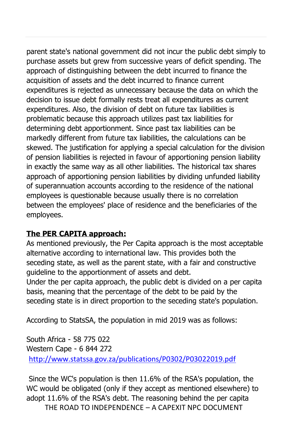parent state's national government did not incur the public debt simply to purchase assets but grew from successive years of deficit spending. The approach of distinguishing between the debt incurred to finance the acquisition of assets and the debt incurred to finance current expenditures is rejected as unnecessary because the data on which the decision to issue debt formally rests treat all expenditures as current expenditures. Also, the division of debt on future tax liabilities is problematic because this approach utilizes past tax liabilities for determining debt apportionment. Since past tax liabilities can be markedly different from future tax liabilities, the calculations can be skewed. The justification for applying a special calculation for the division of pension liabilities is rejected in favour of apportioning pension liability in exactly the same way as all other liabilities. The historical tax shares approach of apportioning pension liabilities by dividing unfunded liability of superannuation accounts according to the residence of the national employees is questionable because usually there is no correlation between the employees' place of residence and the beneficiaries of the employees.

### **The PER CAPITA approach:**

As mentioned previously, the Per Capita approach is the most acceptable alternative according to international law. This provides both the seceding state, as well as the parent state, with a fair and constructive guideline to the apportionment of assets and debt.

Under the per capita approach, the public debt is divided on a per capita basis, meaning that the percentage of the debt to be paid by the seceding state is in direct proportion to the seceding state's population.

According to StatsSA, the population in mid 2019 was as follows:

South Africa - 58 775 022 Western Cape - 6 844 272 <http://www.statssa.gov.za/publications/P0302/P03022019.pdf>

Since the WC's population is then 11.6% of the RSA's population, the WC would be obligated (only if they accept as mentioned elsewhere) to adopt 11.6% of the RSA's debt. The reasoning behind the per capita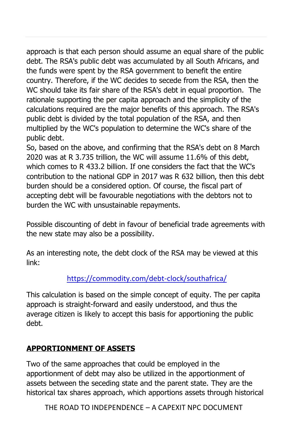approach is that each person should assume an equal share of the public debt. The RSA's public debt was accumulated by all South Africans, and the funds were spent by the RSA government to benefit the entire country. Therefore, if the WC decides to secede from the RSA, then the WC should take its fair share of the RSA's debt in equal proportion. The rationale supporting the per capita approach and the simplicity of the calculations required are the major benefits of this approach. The RSA's public debt is divided by the total population of the RSA, and then multiplied by the WC's population to determine the WC's share of the public debt.

So, based on the above, and confirming that the RSA's debt on 8 March 2020 was at R 3.735 trillion, the WC will assume 11.6% of this debt, which comes to R 433.2 billion. If one considers the fact that the WC's contribution to the national GDP in 2017 was R 632 billion, then this debt burden should be a considered option. Of course, the fiscal part of accepting debt will be favourable negotiations with the debtors not to burden the WC with unsustainable repayments.

Possible discounting of debt in favour of beneficial trade agreements with the new state may also be a possibility.

As an interesting note, the debt clock of the RSA may be viewed at this link:

### <https://commodity.com/debt-clock/southafrica/>

This calculation is based on the simple concept of equity. The per capita approach is straight-forward and easily understood, and thus the average citizen is likely to accept this basis for apportioning the public debt.

### **APPORTIONMENT OF ASSETS**

Two of the same approaches that could be employed in the apportionment of debt may also be utilized in the apportionment of assets between the seceding state and the parent state. They are the historical tax shares approach, which apportions assets through historical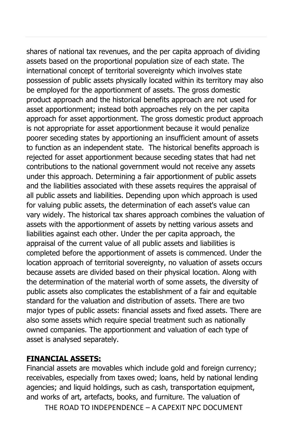shares of national tax revenues, and the per capita approach of dividing assets based on the proportional population size of each state. The international concept of territorial sovereignty which involves state possession of public assets physically located within its territory may also be employed for the apportionment of assets. The gross domestic product approach and the historical benefits approach are not used for asset apportionment; instead both approaches rely on the per capita approach for asset apportionment. The gross domestic product approach is not appropriate for asset apportionment because it would penalize poorer seceding states by apportioning an insufficient amount of assets to function as an independent state. The historical benefits approach is rejected for asset apportionment because seceding states that had net contributions to the national government would not receive any assets under this approach. Determining a fair apportionment of public assets and the liabilities associated with these assets requires the appraisal of all public assets and liabilities. Depending upon which approach is used for valuing public assets, the determination of each asset's value can vary widely. The historical tax shares approach combines the valuation of assets with the apportionment of assets by netting various assets and liabilities against each other. Under the per capita approach, the appraisal of the current value of all public assets and liabilities is completed before the apportionment of assets is commenced. Under the location approach of territorial sovereignty, no valuation of assets occurs because assets are divided based on their physical location. Along with the determination of the material worth of some assets, the diversity of public assets also complicates the establishment of a fair and equitable standard for the valuation and distribution of assets. There are two major types of public assets: financial assets and fixed assets. There are also some assets which require special treatment such as nationally owned companies. The apportionment and valuation of each type of asset is analysed separately.

### **FINANCIAL ASSETS:**

Financial assets are movables which include gold and foreign currency; receivables, especially from taxes owed; loans, held by national lending agencies; and liquid holdings, such as cash, transportation equipment, and works of art, artefacts, books, and furniture. The valuation of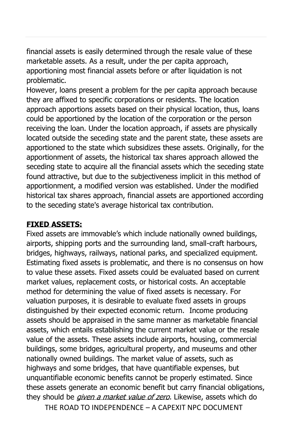financial assets is easily determined through the resale value of these marketable assets. As a result, under the per capita approach, apportioning most financial assets before or after liquidation is not problematic.

However, loans present a problem for the per capita approach because they are affixed to specific corporations or residents. The location approach apportions assets based on their physical location, thus, loans could be apportioned by the location of the corporation or the person receiving the loan. Under the location approach, if assets are physically located outside the seceding state and the parent state, these assets are apportioned to the state which subsidizes these assets. Originally, for the apportionment of assets, the historical tax shares approach allowed the seceding state to acquire all the financial assets which the seceding state found attractive, but due to the subjectiveness implicit in this method of apportionment, a modified version was established. Under the modified historical tax shares approach, financial assets are apportioned according to the seceding state's average historical tax contribution.

### **FIXED ASSETS:**

Fixed assets are immovable's which include nationally owned buildings, airports, shipping ports and the surrounding land, small-craft harbours, bridges, highways, railways, national parks, and specialized equipment. Estimating fixed assets is problematic, and there is no consensus on how to value these assets. Fixed assets could be evaluated based on current market values, replacement costs, or historical costs. An acceptable method for determining the value of fixed assets is necessary. For valuation purposes, it is desirable to evaluate fixed assets in groups distinguished by their expected economic return. Income producing assets should be appraised in the same manner as marketable financial assets, which entails establishing the current market value or the resale value of the assets. These assets include airports, housing, commercial buildings, some bridges, agricultural property, and museums and other nationally owned buildings. The market value of assets, such as highways and some bridges, that have quantifiable expenses, but unquantifiable economic benefits cannot be properly estimated. Since these assets generate an economic benefit but carry financial obligations, they should be *given a market value of zero*. Likewise, assets which do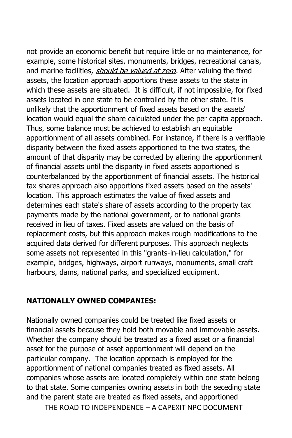not provide an economic benefit but require little or no maintenance, for example, some historical sites, monuments, bridges, recreational canals, and marine facilities, *should be valued at zero*. After valuing the fixed assets, the location approach apportions these assets to the state in which these assets are situated. It is difficult, if not impossible, for fixed assets located in one state to be controlled by the other state. It is unlikely that the apportionment of fixed assets based on the assets' location would equal the share calculated under the per capita approach. Thus, some balance must be achieved to establish an equitable apportionment of all assets combined. For instance, if there is a verifiable disparity between the fixed assets apportioned to the two states, the amount of that disparity may be corrected by altering the apportionment of financial assets until the disparity in fixed assets apportioned is counterbalanced by the apportionment of financial assets. The historical tax shares approach also apportions fixed assets based on the assets' location. This approach estimates the value of fixed assets and determines each state's share of assets according to the property tax payments made by the national government, or to national grants received in lieu of taxes. Fixed assets are valued on the basis of replacement costs, but this approach makes rough modifications to the acquired data derived for different purposes. This approach neglects some assets not represented in this "grants-in-lieu calculation," for example, bridges, highways, airport runways, monuments, small craft harbours, dams, national parks, and specialized equipment.

### **NATIONALLY OWNED COMPANIES:**

Nationally owned companies could be treated like fixed assets or financial assets because they hold both movable and immovable assets. Whether the company should be treated as a fixed asset or a financial asset for the purpose of asset apportionment will depend on the particular company. The location approach is employed for the apportionment of national companies treated as fixed assets. All companies whose assets are located completely within one state belong to that state. Some companies owning assets in both the seceding state and the parent state are treated as fixed assets, and apportioned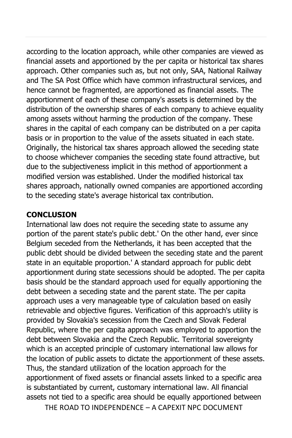according to the location approach, while other companies are viewed as financial assets and apportioned by the per capita or historical tax shares approach. Other companies such as, but not only, SAA, National Railway and The SA Post Office which have common infrastructural services, and hence cannot be fragmented, are apportioned as financial assets. The apportionment of each of these company's assets is determined by the distribution of the ownership shares of each company to achieve equality among assets without harming the production of the company. These shares in the capital of each company can be distributed on a per capita basis or in proportion to the value of the assets situated in each state. Originally, the historical tax shares approach allowed the seceding state to choose whichever companies the seceding state found attractive, but due to the subjectiveness implicit in this method of apportionment a modified version was established. Under the modified historical tax shares approach, nationally owned companies are apportioned according to the seceding state's average historical tax contribution.

### **CONCLUSION**

International law does not require the seceding state to assume any portion of the parent state's public debt.' On the other hand, ever since Belgium seceded from the Netherlands, it has been accepted that the public debt should be divided between the seceding state and the parent state in an equitable proportion.' A standard approach for public debt apportionment during state secessions should be adopted. The per capita basis should be the standard approach used for equally apportioning the debt between a seceding state and the parent state. The per capita approach uses a very manageable type of calculation based on easily retrievable and objective figures. Verification of this approach's utility is provided by Slovakia's secession from the Czech and Slovak Federal Republic, where the per capita approach was employed to apportion the debt between Slovakia and the Czech Republic. Territorial sovereignty which is an accepted principle of customary international law allows for the location of public assets to dictate the apportionment of these assets. Thus, the standard utilization of the location approach for the apportionment of fixed assets or financial assets linked to a specific area is substantiated by current, customary international law. All financial assets not tied to a specific area should be equally apportioned between